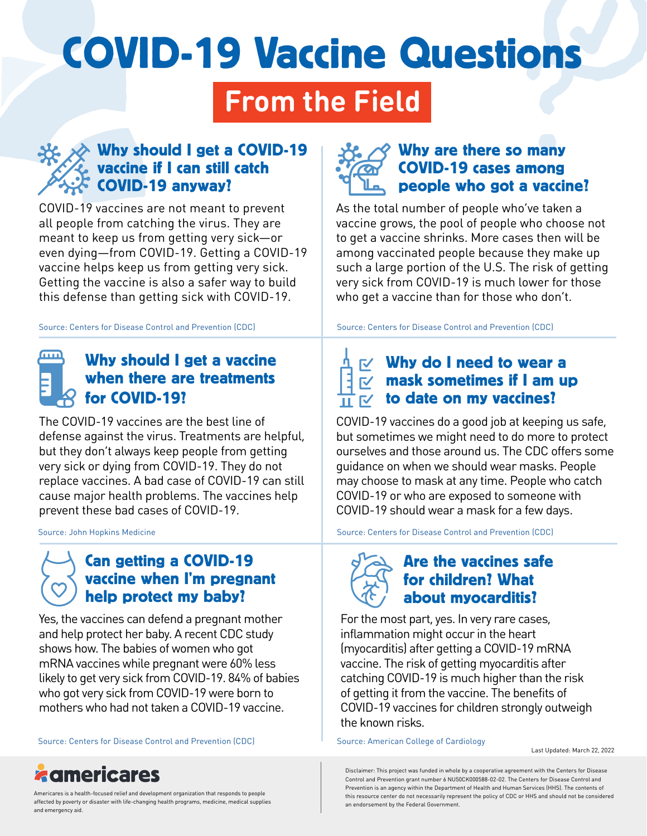# COVID-19 Vaccine Questions

# **From the Field**

#### Why should I get a COVID-19 vaccine if I can still catch COVID-19 anyway?

COVID-19 vaccines are not meant to prevent all people from catching the virus. They are meant to keep us from getting very sick—or even dying—from COVID-19. Getting a COVID-19 vaccine helps keep us from getting very sick. Getting the vaccine is also a safer way to build this defense than getting sick with COVID-19.

#### <u>mm</u> Why should I get a vaccine when there are treatments  $\beta$  for COVID-19?

The COVID-19 vaccines are the best line of defense against the virus. Treatments are helpful, but they don't always keep people from getting very sick or dying from COVID-19. They do not replace vaccines. A bad case of COVID-19 can still cause major health problems. The vaccines help prevent these bad cases of COVID-19.

#### Can getting a COVID-19 vaccine when I'm pregnant help protect my baby?

Yes, the vaccines can defend a pregnant mother and help protect her baby. A recent CDC study shows how. The babies of women who got mRNA vaccines while pregnant were 60% less likely to get very sick from COVID-19. 84% of babies who got very sick from COVID-19 were born to mothers who had not taken a COVID-19 vaccine.

[Source: Centers for Disease Control and Prevention \(CDC\)](https://www.cdc.gov/mmwr/volumes/71/wr/mm7107e3.htm?s_cid=mm7107e3_w&utm_source=STAT+Newsletters&utm_campaign=c3c5f21d9e-MR_COPY_01&utm_medium=email&utm_term=0_8cab1d7961-c3c5f21d9e-153352150) [Source: American College of Cardiology](https://www.acc.org/Latest-in-Cardiology/ten-points-to-remember/2022/02/07/15/57/Myocarditis-After-BNT162b2)



As the total number of people who've taken a vaccine grows, the pool of people who choose not to get a vaccine shrinks. More cases then will be among vaccinated people because they make up such a large portion of the U.S. The risk of getting very sick from COVID-19 is much lower for those who get a vaccine than for those who don't.

[Source: Centers for Disease Control and Prevention \(CDC\)](https://www.cdc.gov/coronavirus/2019-ncov/vaccines/vaccine-benefits.html) [Source: Centers for Disease Control and Prevention \(CDC\)](https://www.cdc.gov/coronavirus/2019-ncov/vaccines/effectiveness/why-measure-effectiveness/breakthrough-cases.html?s_cid=11749:covid%20break%20through:sem.ga:p:RG:GM:gen:PTN:FY22)

#### $\nabla$  Why do I need to wear a  $\overline{\nu}$  mask sometimes if I am up  $\nabla$  to date on my vaccines?

COVID-19 vaccines do a good job at keeping us safe, but sometimes we might need to do more to protect ourselves and those around us. The CDC offers some guidance on when we should wear masks. People may choose to mask at any time. People who catch COVID-19 or who are exposed to someone with COVID-19 should wear a mask for a few days.

[Source: John Hopkins Medicine](https://www.hopkinsmedicine.org/health/conditions-and-diseases/coronavirus/coronavirus-treatment-whats-in-development) [Source: Centers for Disease Control and Prevention \(CDC\)](https://www.cdc.gov/coronavirus/2019-ncov/prevent-getting-sick/about-face-coverings.html)



#### Are the vaccines safe for children? What about myocarditis?

For the most part, yes. In very rare cases, inflammation might occur in the heart (myocarditis) after getting a COVID-19 mRNA vaccine. The risk of getting myocarditis after catching COVID-19 is much higher than the risk of getting it from the vaccine. The benefits of COVID-19 vaccines for children strongly outweigh the known risks.

Last Updated: March 22, 2022

Disclaimer: This project was funded in whole by a cooperative agreement with the Centers for Disease Control and Prevention grant number 6 NU50CK000588-02-02. The Centers for Disease Control and Prevention is an agency within the Department of Health and Human Services (HHS). The contents of this resource center do not necessarily represent the policy of CDC or HHS and should not be considered an endorsement by the Federal Government.



Americares is a health-focused relief and development organization that responds to people affected by poverty or disaster with life-changing health programs, medicine, medical supplies and emergency aid.